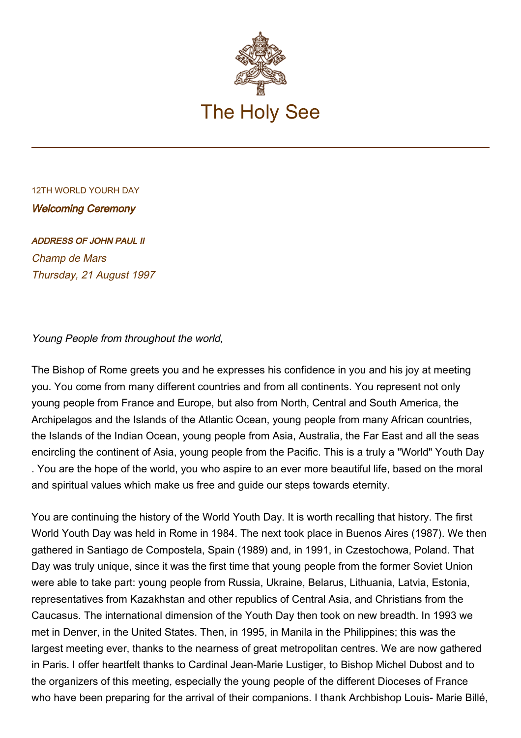

## 12TH WORLD YOURH DAY Welcoming Ceremony

## ADDRESS OF JOHN PAUL II

Champ de Mars Thursday, 21 August 1997

## Young People from throughout the world,

The Bishop of Rome greets you and he expresses his confidence in you and his joy at meeting you. You come from many different countries and from all continents. You represent not only young people from France and Europe, but also from North, Central and South America, the Archipelagos and the Islands of the Atlantic Ocean, young people from many African countries, the Islands of the Indian Ocean, young people from Asia, Australia, the Far East and all the seas encircling the continent of Asia, young people from the Pacific. This is a truly a "World" Youth Day . You are the hope of the world, you who aspire to an ever more beautiful life, based on the moral and spiritual values which make us free and guide our steps towards eternity.

You are continuing the history of the World Youth Day. It is worth recalling that history. The first World Youth Day was held in Rome in 1984. The next took place in Buenos Aires (1987). We then gathered in Santiago de Compostela, Spain (1989) and, in 1991, in Czestochowa, Poland. That Day was truly unique, since it was the first time that young people from the former Soviet Union were able to take part: young people from Russia, Ukraine, Belarus, Lithuania, Latvia, Estonia, representatives from Kazakhstan and other republics of Central Asia, and Christians from the Caucasus. The international dimension of the Youth Day then took on new breadth. In 1993 we met in Denver, in the United States. Then, in 1995, in Manila in the Philippines; this was the largest meeting ever, thanks to the nearness of great metropolitan centres. We are now gathered in Paris. I offer heartfelt thanks to Cardinal Jean-Marie Lustiger, to Bishop Michel Dubost and to the organizers of this meeting, especially the young people of the different Dioceses of France who have been preparing for the arrival of their companions. I thank Archbishop Louis- Marie Billé,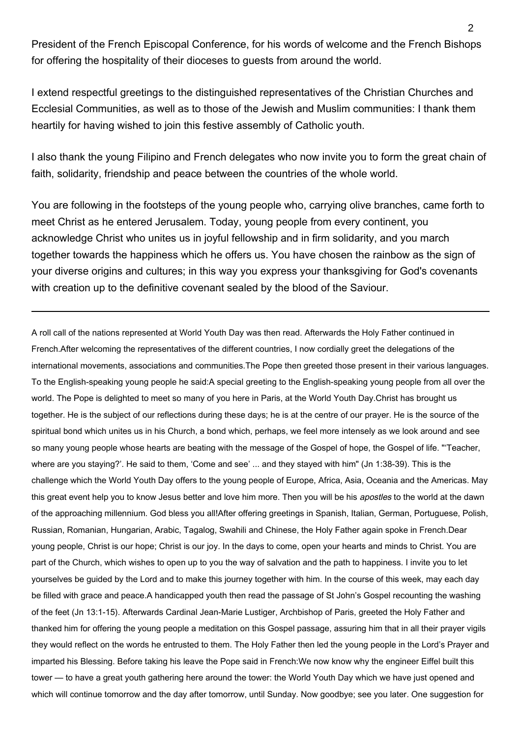President of the French Episcopal Conference, for his words of welcome and the French Bishops for offering the hospitality of their dioceses to guests from around the world.

I extend respectful greetings to the distinguished representatives of the Christian Churches and Ecclesial Communities, as well as to those of the Jewish and Muslim communities: I thank them heartily for having wished to join this festive assembly of Catholic youth.

I also thank the young Filipino and French delegates who now invite you to form the great chain of faith, solidarity, friendship and peace between the countries of the whole world.

You are following in the footsteps of the young people who, carrying olive branches, came forth to meet Christ as he entered Jerusalem. Today, young people from every continent, you acknowledge Christ who unites us in joyful fellowship and in firm solidarity, and you march together towards the happiness which he offers us. You have chosen the rainbow as the sign of your diverse origins and cultures; in this way you express your thanksgiving for God's covenants with creation up to the definitive covenant sealed by the blood of the Saviour.

A roll call of the nations represented at World Youth Day was then read. Afterwards the Holy Father continued in French.After welcoming the representatives of the different countries, I now cordially greet the delegations of the international movements, associations and communities.The Pope then greeted those present in their various languages. To the English-speaking young people he said:A special greeting to the English-speaking young people from all over the world. The Pope is delighted to meet so many of you here in Paris, at the World Youth Day.Christ has brought us together. He is the subject of our reflections during these days; he is at the centre of our prayer. He is the source of the spiritual bond which unites us in his Church, a bond which, perhaps, we feel more intensely as we look around and see so many young people whose hearts are beating with the message of the Gospel of hope, the Gospel of life. "'Teacher, where are you staying?'. He said to them, 'Come and see' ... and they stayed with him" (Jn 1:38-39). This is the challenge which the World Youth Day offers to the young people of Europe, Africa, Asia, Oceania and the Americas. May this great event help you to know Jesus better and love him more. Then you will be his apostles to the world at the dawn of the approaching millennium. God bless you all!After offering greetings in Spanish, Italian, German, Portuguese, Polish, Russian, Romanian, Hungarian, Arabic, Tagalog, Swahili and Chinese, the Holy Father again spoke in French.Dear young people, Christ is our hope; Christ is our joy. In the days to come, open your hearts and minds to Christ. You are part of the Church, which wishes to open up to you the way of salvation and the path to happiness. I invite you to let yourselves be guided by the Lord and to make this journey together with him. In the course of this week, may each day be filled with grace and peace.A handicapped youth then read the passage of St John's Gospel recounting the washing of the feet (Jn 13:1-15). Afterwards Cardinal Jean-Marie Lustiger, Archbishop of Paris, greeted the Holy Father and thanked him for offering the young people a meditation on this Gospel passage, assuring him that in all their prayer vigils they would reflect on the words he entrusted to them. The Holy Father then led the young people in the Lord's Prayer and imparted his Blessing. Before taking his leave the Pope said in French:We now know why the engineer Eiffel built this tower — to have a great youth gathering here around the tower: the World Youth Day which we have just opened and which will continue tomorrow and the day after tomorrow, until Sunday. Now goodbye; see you later. One suggestion for